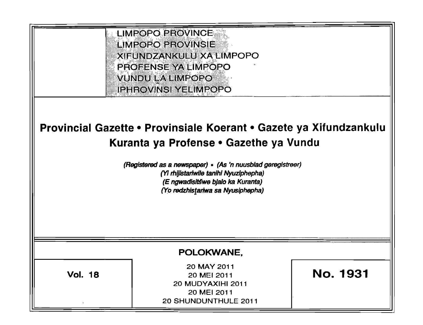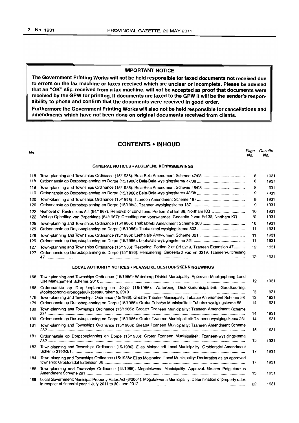## IMPORTANT NOTICE

The Government Printing Works will not be held responsible for faxed documents not received due to errors on the fax machine or faxes received which are unclear or incomplete. Please be advised that an "OK" slip, received from a fax machine, will not be accepted as proof that documents were received by the GPW for printing. If documents are faxed to the GPW it will be the sender's responsibility to phone and confirm that the documents were received in good order.

Furthermore the Government Printing Works will also not be held responsible for cancellations and amendments which have not been done on original documents received from clients.

## CONTENTS • INHOUD

| No.        |                                                                                                                                                                                                             | Page<br>No. | Gazette<br>No. |
|------------|-------------------------------------------------------------------------------------------------------------------------------------------------------------------------------------------------------------|-------------|----------------|
|            | <b>GENERAL NOTICES • ALGEMENE KENNISGEWINGS</b>                                                                                                                                                             |             |                |
| 118        |                                                                                                                                                                                                             | 8           | 1931           |
| 118        |                                                                                                                                                                                                             | 8           | 1931           |
| 119        |                                                                                                                                                                                                             | 8           | 1931           |
| 119        |                                                                                                                                                                                                             | 9           | 1931           |
| 120<br>120 |                                                                                                                                                                                                             | 9<br>9      | 1931<br>1931   |
| 122        | Removal of Restrictions Act (84/1967): Removal of conditions: Portion 2 of Erf 38, Northam KQ                                                                                                               | 10          | 1931           |
| 122        | Wet op Opheffing van Beperkings (84/1967): Opheffing van voorwaardes: Gedeelte 2 van Erf 38, Northam KQ                                                                                                     | 10          | 1931           |
| 125        |                                                                                                                                                                                                             | 10          | 1931           |
| 125        |                                                                                                                                                                                                             | 11          | 1931           |
| 126        |                                                                                                                                                                                                             | 11          | 1931           |
| 126        |                                                                                                                                                                                                             | 11          | 1931           |
| 127        | Town-planning and Townships Ordinance (15/1986): Rezoning: Portion 2 of Erf 3219, Tzaneen Extension 47                                                                                                      | 12          | 1931           |
| 127        | Ordonnansie op Dorpsbeplanning en Dorpe (15/1986): Hersonering: Gedeelte 2 van Erf 3219, Tzaneen-uitbreiding                                                                                                | 12          | 1931           |
|            | <b>LOCAL AUTHORITY NOTICES • PLAASLIKE BESTUURSKENNISGEWINGS</b>                                                                                                                                            |             |                |
| 168        | Town-planning and Townships Ordinance (15/1986): Waterberg District Municipality: Approval: Mookgophong Land                                                                                                | 12          | 1931           |
| 168        | Ordonnansie op Dorpsbeplanning en Dorpe (15/1986): Waterberg Distriksmunisipaliteit: Goedkeuring:                                                                                                           | 13          | 1931           |
| 179        | Town-planning and Townships Ordinance (15/1986): Greater Tubatse Municipality: Tubatse Amendment Scheme 58                                                                                                  | 13          | 1931           |
| 179        | Ordonnansie op Dorpsbeplanning en Dorpe (15/1986): Groter Tubatse Munisipaliteit: Tubatse-wysigingskema 58                                                                                                  | 14          | 1931           |
| 180        | Town-planning and Townships Ordinance (15/1986): Greater Tzaneen Municipality: Tzaneen Amendment Scheme                                                                                                     | 14          | 1931           |
| 180        | Ordonnansie op Dorpsbeplanning en Dorpe (15/1986): Groter Tzaneen Munisipaliteit: Tzaneen-wysigingskema 231                                                                                                 | 14          | 1931           |
| 181        | Town-planning and Townships Ordinance (15/1986): Greater Tzaneen Municipality: Tzaneen Amendment Scheme                                                                                                     | 15          | 1931           |
| 181        | Ordonnansie op Dorpsbeplanning en Dorpe (15/1986): Groter Tzaneen Munisipaliteit: Tzaneen-wysigingskema                                                                                                     | 15          | 1931           |
| 183        | Town-planning and Townships Ordinance (15/1986): Elias Motsoaledi Local Municipality: Groblersdal Amendment                                                                                                 | 17          | 1931           |
| 184        | Town-planning and Townships Ordinance (15/1986): Elias Motsoaledi Local Municipality: Declaration as an approved                                                                                            | 17          | 1931           |
| 185        | Town-planning and Townships Ordinance (15/1986): Mogalekwena Municipality: Approval: Greater Potgietersrus                                                                                                  | 15          | 1931           |
| 186        | Local Government: Municipal Property Rates Act (6/2004): Mogalakwena Municipality: Determination of property rates<br>in respect of financial vear 1 July 2011 to 30 June 2012 ………………………………………………………………………… | 22          | 1931           |

in respect of financial year 1 July 2011 to 30 June 2012 .............................................................................................. .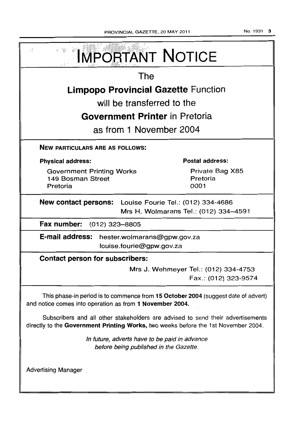| PROVINCIAL GAZETTE, 20 MAY 2011 |  |  |  |
|---------------------------------|--|--|--|
|---------------------------------|--|--|--|

No. 1931 3

| s š<br><b>IMPORTANT NOTICE</b>                                                                                                                                        |                                                              |  |  |
|-----------------------------------------------------------------------------------------------------------------------------------------------------------------------|--------------------------------------------------------------|--|--|
| The                                                                                                                                                                   |                                                              |  |  |
| <b>Limpopo Provincial Gazette Function</b>                                                                                                                            |                                                              |  |  |
| will be transferred to the                                                                                                                                            |                                                              |  |  |
| Government Printer in Pretoria                                                                                                                                        |                                                              |  |  |
| as from 1 November 2004                                                                                                                                               |                                                              |  |  |
| <b>NEW PARTICULARS ARE AS FOLLOWS:</b>                                                                                                                                |                                                              |  |  |
| <b>Physical address:</b>                                                                                                                                              | <b>Postal address:</b>                                       |  |  |
| <b>Government Printing Works</b><br>149 Bosman Street<br>Pretoria                                                                                                     | Private Bag X85<br>Pretoria<br>0001                          |  |  |
| <b>New contact persons:</b> Louise Fourie Tel.: (012) 334-4686<br>Mrs H. Wolmarans Tel.: (012) 334-4591                                                               |                                                              |  |  |
| Fax number: (012) 323-8805                                                                                                                                            |                                                              |  |  |
| E-mail address: hester.wolmarans@gpw.gov.za<br>louise.fourie@gpw.gov.za                                                                                               |                                                              |  |  |
| <b>Contact person for subscribers:</b>                                                                                                                                |                                                              |  |  |
|                                                                                                                                                                       | Mrs J. Wehmeyer Tel.: (012) 334-4753<br>Fax.: (012) 323-9574 |  |  |
| This phase-in period is to commence from 15 October 2004 (suggest date of advert)<br>and notice comes into operation as from 1 November 2004.                         |                                                              |  |  |
| Subscribers and all other stakeholders are advised to send their advertisements<br>directly to the Government Printing Works, two weeks before the 1st November 2004. |                                                              |  |  |
| In future, adverts have to be paid in advance<br>before being published in the Gazette.                                                                               |                                                              |  |  |
| <b>Advertising Manager</b>                                                                                                                                            |                                                              |  |  |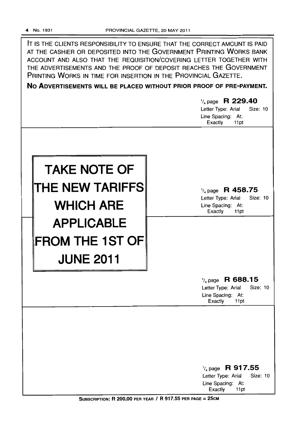-

IT IS THE CLIENTS RESPONSIBILITY TO ENSURE THAT THE CORRECT AMOUNT IS PAID AT THE CASHIER OR DEPOSITED INTO THE GOVERNMENT PRINTING WORKS BANK ACCOUNT AND ALSO THAT THE REQUISITION/COVERING LETTER TOGETHER WITH THE ADVERTISEMENTS AND THE PROOF OF DEPOSIT REACHES THE GOVERNMENT PRINTING WORKS IN TIME FOR INSERTION IN THE PROVINCIAL GAZETTE.

**No ADVERTISEMENTS WILL BE PLACED WITHOUT PRIOR PROOF OF PRE-PAYMENT.** 

# **TAKE NOTE OF THE NEW TARIFFS WHICH ARE APPLICABLE FROM THE 1ST OF JUNE 2011**  1/4 page **R 229.40**  Letter Type: Arial Size: 10 Line Spacing: At: Exactly 11 pt 1/4 page **R 458.75**  Letter Type: Arial Size: 10 Line Spacing: At: Exactly 11pt 1/4 page **R 688.15**

Letter Type: Arial Size: 10 Line Spacing: At: Exactly 11pt

1/4 page **R 917.55** 

Letter Type: Arial Size: 10 Line Spacing: At: Exactly 11 pt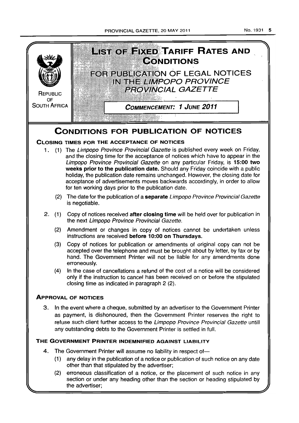PROVINCIAL GAZETTE, 20 MAY 2011 No. 1931 5



(2) erroneous classification of a notice, or the placement of such notice in any section or under any heading other than the section or heading stipulated by the advertiser;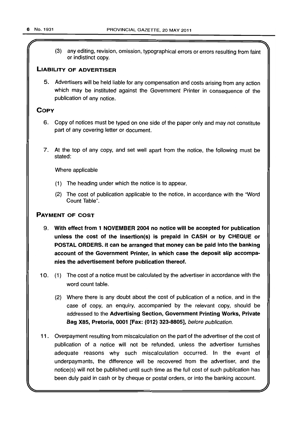$\sqrt{ }$ (3) any editing, revision, omission, typographical errors or errors resulting from faint or indistinct copy.

## LIABILITY OF ADVERTISER

5. Advertisers will be held liable for any compensation and costs arising from any action which may be instituted against the Government Printer in consequence of the publication of any notice.

## **COPY**

- 6. Copy of notices must be typed on one side of the paper only and may not constitute part of any covering letter or document.
- 7. At the top of any copy, and set well apart from the notice, the following must be stated:

Where applicable

- (1) The heading under which the notice is to appear.
- (2) The cost of publication applicable to the notice, in accordance with the "Word Count Table".

## PAYMENT OF COST

- 9. With effect from 1 NOVEMBER 2004 no notice will be accepted for publication unless the cost of the insertion(s) is prepaid in CASH or by CHEQUE or POSTAL ORDERS. It can be arranged that money can be paid into the banking account of the Government Printer, in which case the deposit slip accompanies the advertisement before publication thereof.
- 10. (1) The cost of a notice must be calculated by the advertiser in accordance with the word count table.
	- (2) Where there is any doubt about the cost of publication of a notice, and in the case of copy, an enquiry, accompanied by the relevant copy, should be addressed to the Advertising Section, Government Printing Works, Private Bag X85, Pretoria, 0001 [Fax: (012) 323-8805], before publication.
- 11. Overpayment resulting from miscalculation on the part of the advertiser of the cost of publication of a notice will not be refunded, unless the advertiser furnishes adequate reasons why such miscalculation occurred. In the event of underpaymants, the difference will be recovered from the advertiser, and the notice(s) will not be published until such time as the full cost of such publication has been duly paid in cash or by cheque or postal orders, or into the banking account.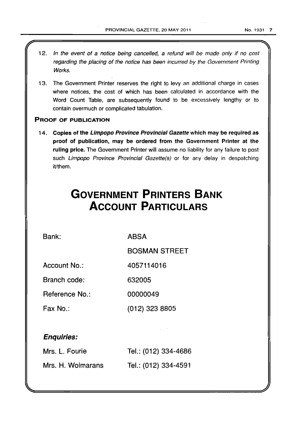- 1 2. In the event of a notice being cancel/ed, a refund will be made only *if* no cost regarding the placing of the notice has been incurred by the Government Printing Works.
- 13. The Government Printer reserves the right to levy an additional charge in cases where notices, the cost of which has been calculated in accordance with the Word Count Table, are subsequently found to be excessively lengthy or to contain overmuch or complicated tabulation.

## PROOF OF PUBLICATION

14. Copies of the Limpopo Province Provincial Gazette which may be required as proof of publication, may be ordered from the Government Printer at the ruling price. The Government Printer will assume no liability for any failure to post such Limpopo Province Provincial Gazette(s) or for any delay in despatching iVthem.

# **GOVERNMENT PRINTERS BANK ACCOUNT PARTICULARS**

Bank:

ABSA

BOSMAN STREET

(012) 323 8805

Account No.: 4057114016

Branch code: 632005

Reference No.: 00000049

Fax No.:

## Enquiries:

| Mrs. L. Fourie    | Tel.: (012) 334-4686 |
|-------------------|----------------------|
| Mrs. H. Wolmarans | Tel.: (012) 334-4591 |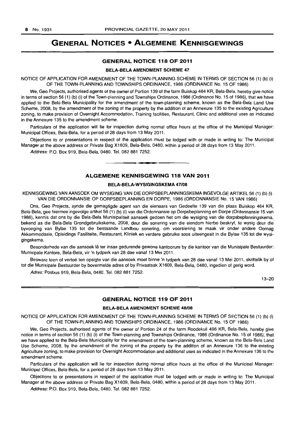## **GENERAL NOTICES • ALGEMENE KENNISGEWINGS**

## **GENERAL NOTICE 118 OF 2011**

#### BELA-BELA AMENDMENT SCHEME 47

NOTICE OF APPLICATION FOR AMENDMENT OF THE TOWN-PLANNING SCHEME IN TERMS OF SECTION 56 (1) (b) (i) OF THE TOWN-PLANNING AND TOWNSHIPS ORDINANCE, 1986 (ORDINANCE No. 15 OF 1986)

We, Geo Projects, authorised agents of the owner of Portion 139 of the farm Buiskop 464 KR, Bela-Bela, hereby give notice in terms of section 56 (1) (b) (i) of the Town-planning and Townships Ordinance, 1986 (Ordinance No. 15 of 1986), that we have applied to the Bela-Bela Municipality for the amendment of the town-planning scheme, known as the Bela-Bela Land Use Scheme, 2008, by the amendment of the zoning of the property by the addition of an Annexure 135 to the existing Agriculture zoning, to make provision of Overnight Accommodation, Training facilities, Restaurant, Clinic and additional uses as indicated in the Annexure 135 to the amendment scheme.

Particulars of the application will lie for inspection during normal office hours at the office of the Municipal Manager: Municipal Offices, Bela-Bela, for a period of 28 days from 13 May 2011.

Objections to or presentations in respect of the application must be lodged with or made in writing to: The Municipal Manager at the above address or Private Bag X1609, Bela-Bela, 0480, within a period of 28 days from 13 May 2011.

Address: P.O. Box 919, Bela-Bela, 0480. Tel. 082 881 7252. . **-.** 

## **ALGEMENE KENNISGEWING 118 VAN 2011**

#### BELA-BELA-WYSIGINGSKEMA *47/08*

KENNISGEWING VAN AANSOEK OM WYSIGING VAN DIE DORPSBEPLANNINGSKEMA INGEVOLGE ARTIKEL 56 (1) (b) (i) VAN DIE ORDONNANSIE OP DORPSBEPLANNING EN DORPE, 1986 (ORDONNANSIE No. 15 VAN 1986)

Ons, Geo Projects, synde die gemagtigde agent van die eienaars van Gedeelte 139 van die plaas Buiskop 464 KR, Bela-Bela, gee hiermee ingevolge artikel 56 (1) (b) (i) van die Ordonnansie op Dorpsbeplanning en Dorpe (Ordonnansie 15 van 1986), kennis dat ons by die Bela-Bela Munisipaliteit aansoek gedoen het om die wysiging van die dorpsbeplanningskema, bekend as die Bela-Bela Grondgebruikskema, 2008, deur die sonering van die eiendom hierbo beskryf, te wysig deur die byvoeging van Bylae 135 tot die bestaande Landbou sonering, om voorsiening te maak vir onder andere Oornag Akkommodasie, Opleidings Fasiliteite, Restaurant, Kliniek en verdere gebruike soos uiteengesit in die Bylae 135 tot die wysigingskema.

Besonderhede van die aansoek lê ter insae gedurende gewone kantoorure by die kantoor van die Munisipale Bestuurder: Munisipale Kantore, Bela-Bela, vir 'n tydperk van 28 dae vanaf 13 Mei 2011.

Besware teen of vertoë ten opsigte van die aansoek moet binne 'n tydperk van 28 dae vanaf 13 Mei 2011, skriftelik by of tot die Munisipale Bestuurder by bovermelde adres of by Privaatsak X1609, Bela-Bela, 0480, ingedien of gerig word.

Adres: Posbus 919, Bela-Bela, 0480. Tel. 082881 7252.

13-20

## **GENERAL NOTICE 119 OF 2011**

#### BELA-BELA AMENDMENT SCHEME *48108*

NOTICE OF APPLICATION FOR AMENDMENT OF THE TOWN-PLANNING SCHEME IN TERMS OF SECTION 56 (1) (b) (i) OF THE TOWN-PLANNING AND TOWNSHIPS ORDINANCE, 1986 (ORDINANCE No. 15 OF 1986)

We, Geo Projects, authorised agents of the owner of Portion 24 of the farm Roodekuil 496 KR, Bela-Bela, hereby give notice in terms of section 56 (1) (b) (i) of the Town-planning and Townships Ordinance, 1986 (Ordinance No. 15 of 1986), that we have applied to the Bela-Bela Municipality for the amendment of the town-planning scheme, known as the Bela-Bela Land Use Scheme, 2008, by the amendment of the zoning of the property by the addition of an Annexure 136 to the existing Agriculture zoning, to make provision for Overnight Accommodation and additional uses as indicated in the Annexure 136 to the amendment scheme.

Particulars of the application will lie for inspection during normal office hours at the office of the Municipal Manager: Municipal Offices, Bela-Bela, for a period of 28 days from 13 May 2011.

Objections to or presentations in respect of the application must be lodged with or made in writing to: The Municipal Manager at the above address or Private Bag X1609, Bela-Bela, 0480, within a period of 28 days from 13 May 2011.

Address: P.O. Box 919, Bela-Bela, 0480. Tel. 082881 7252.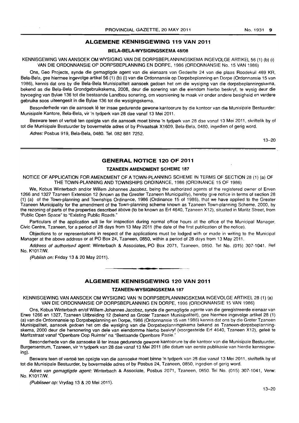## ALGEMENE KENNISGEWING 119 VAN 2011

#### BELA-BELA-WYSIGINGSKEMA *48/08*

KENNISGEWING VAN AANSOEK OM WYSIGING VAN DIE DORPSBEPLANNINGSKEMA INGEVOLGE ARTIKEL 56 (1) (b) (i) VAN DIE ORDONNANSIE OP DORPSBEPLANNING EN DORPE, 1986 (ORDONNANSIE No. 15 VAN 1986)

Ons, Geo Projects, synde die gemagtigde agent van die eienaars van Gedeelte 24 van die plaas Roodekuil 469 KR, Bela-Bela, gee hiermee irigevolge artikel 56 (1) (b) (i) van die Ordonnansie op Dorpsbeplanning en Dorpe (Ordonnansie 15 van 1986), kennis dat ons by die Bela-8ela Munisipaliteit aansoek gedoen het om die wysiging van die dorpsbeplanningskema, bekend as die Bela-Bela Grondgebruikskema, 2008, deur die sonering van die eiendom hierbo beskryf, te wysig deur die byvoeging van 8ylae 136 tot die bestaande Landbou sonering, am voorsiening te maak vir onder andere besigheid en verdere gebruike soos uiteengesit in die 8ylae 136 tot die wysigingskema.

Besonderhede van die aansoek lê ter insae gedurende gewone kantoorure by die kantoor van die Munisipale Bestuurder: Munisipale Kantore, Bela-Bela, vir 'n tydperk van 28 dae vanaf 13 Mei 2011.

Besware teen of vertoë ten opsigte van die aansoek moet binne 'n tydperk van 28 dae vanaf 13 Mei 2011, skriftelik by of tot die Munisipale Bestuurder by bovermelde adres of by Privaatsak X1609, Bela-Bela, 0480, ingedien of gerig word.

Adres: Posbus 919, 8ela-8ela, 0480. Tel. 082881 7252.

13-20

#### GENERAL NOTICE 120 OF 2011

#### TZANEEN AMENDMENT SCHEME 187

NOTICE OF APPLICATION FOR AMENDMENT OF A TOWN-PLANNING SCHEME IN TERMS OF SECTION 28 (1) (a) OF THE TOWN-PLANNING AND TOWNSHIPS ORDINANCE, 1986 (ORDINANCE 15 OF 1986)

We, Kobus Winterbach and/or Willem Johannes Jacobsz, being the authorized agents of the registered owner of Erven 1266 and 1327 Tzaneen Extension 12 (known as the Greater Tzaneen Municipality), hereby give notice in terms of section 28 (1) (a) of the Town-planning and Townships Ordinance, 1986 (Ordinance 15 of 1986), that we have applied to the Greater Tzaneen Municipality for the amendment of the Town-planning scheme known as Tzaneen Town-planning Scheme, 2000, by the rezoning of parts of the properties described above (to be known as Erf 4640, Tzaneen X12), situated in Maritz Street, from 'Public Open Space" to "Existing Public Roads."

Particulars of the application will lie for inspection during normal office hours at the office of the Municipal Manager, Civic Centre, Tzaneen, for a period of 28 days from 13 May 2011 (the date of the first publication of the notice).

Objections to or representations in respect of the applications must be lodged with or made in writing to the Municipal Manager at the above address or at PO Box 24, Tzaneen, 0850, within a period of 28 days from 13 May 2011.

Address of authorised agent: Winterbach & Associates, PO Box 2071, Tzaneen, 0850. Tel No. (015) 307-1041. Ref No. K1017/W.

(Publish on: Friday 13 & 20 May 2011).

## ALGEMENE KENNISGEWING 120 VAN 2011

**• •** 

#### TZANEEN·WYSIGINGSKEMA 187

KENNISGEWING VAN AANSOEK OM WYSIGING VAN 'N DORPSBEPLANNINGSKEMA INGEVOLGE ARTIKEL 28 (1) (a) VAN DIE ORDONNANSIE OP DORPSBEPLANNING EN DORPE, 1996 (ORDONNANSIE 15 VAN 1986)

Ons, Kobus Winterbach en/of Willem Johannes Jacobsz, synde die gemagtigde agente van die geregistreerde eienaar van Erwe 1266 en 1327, Tzaneen Uitbreiding 12 (bekend as Groter Tzaneen Munisipalileit), gee hiermee ingevalge artikel 28 (1) (a) van die Ordonnansie op Dorpsbeplanning en Dorpe, 1986 (Ordonnansie 15 van 1986) kennis dat ons by die Grater Tzaneen Munisipaliteit, aansoek gedoen het om die wysiging van die Dorpsbeplanningskema bekend as Tzaneen-dorpsbeplanningskema, 2000 deur die hersonering van dele van eiendomme hierbo beskryf (voorgestelde Erf 4640, Tzaneen X12), geleë te Maritzstraat vanaf "Openbare Oop Ruimte" na "Bestaande Openbare Paaie."

Besonderhede van die aansoeke lê ter insae gedurende gewone kantoorure by die kantoor van die Munisipale Bestuurder, Burgersentrum, Tzaneen, vir 'n tydperk van 28 dae vanaf 13 Mei 2011 (die datum van eerste publikasie van hierdie kennisgewing).

Besware teen of vertoë ten opsigte van die aansoeke moet binne 'n tydperk van 28 dae vanaf 13 Mei 2011, skriftelik by of tot die Munisipale Bestuurder, by bovermelde adres of by Posbus 24, Tzaneen, 0850, ingedien of gerig word.

Adres van gemagtigde agent: Winterbach & Associate, Posbus 2071, Tzaneen, 0850. Tel No. (015) 307-1041, Verw: No. K1017/W.

(Publiseer op: Vrydag 13 & 20 Mei 2011).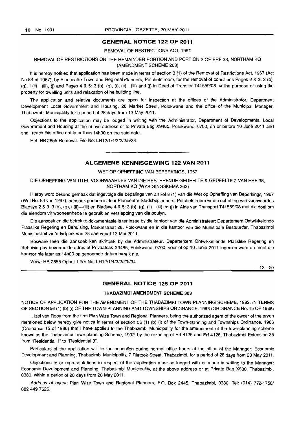### **GENERAL NOTICE 122 OF 2011**

REMOVAL OF RESTRICTIONS ACT, 1967

#### REMOVAL OF RESTRICTIONS ON THE REMAINDER PORTION AND PORTION 2 OF ERF 38, NORTHAM KQ (AMENDMENT SCHEME 263)

It is hereby notified that application has been made in terms of section 3 (1) of the Removal of Restrictions Act, 1967 (Act No 84 of 1967), by Plancentre Town and Regional Planners, Potchefstroom, for the removal of conditions Pages 2 & 3: 3 (b),  $(q)$ , I (ii)-(iii), (i) and Pages 4 & 5: 3 (b), (g), (i), (ii)-(iii) and (j) in Deed of Transfer T41559/08 for the purpose of using the property for dwelling units and relaxation of he building line.

The application and relative documents are open for inspection at the offices of the Administrator, Department Development Local Government and Housing, 28 Market Street, Polokwane and the office of the Municipal Manager, Thabazimbi Municipality for a period of 28 days from 13 May 2011 .

Objections to the application may be lodged in writing with the Administrator, Department of Developmental Local Government and Housing at the above address or to Private Bag X9485, Polokwane, 0700, on or before 10 June 2011 and shall reach this office not later than 14hOO on the said date.

Ref: HB 2855 Removal. File No: LH 1211/4/3/212/5/34.

## . **-. ALGEMENE KENNISGEWING 122 VAN 2011**

#### WET OP OPHEFFING VAN BEPERKINGS, 1967

DIE OPHEFFING VAN TITEL VOORWAARDES VAN DIE RESTERENDE GEDEELTE & GEDEELTE 2 VAN ERF 38, NORTHAM KQ (WYSIGINGSKEMA 263)

Hierby word bekend gemaak dat ingevolge die bepalings van artikel 3 (1) van die Wet op Opheffing van Beperkings, 1967 (Wet No. 84 van 1967), aansoek gedoen is deur Plancentre Stadsbeplanners, Potchefstroom vir die opheffing van voorwaardes Bladsye 2 & 3: 3 (b), (g), i (ii)-(iii) en Bladsye 4 & 5: 3 (b), (g), (iI)-(iii) en (j) in Akte van Transport T41559/08 met die doel om die eiendom vir wooneenhede te gebruik en verslapping van die boulyn.

Die aansoek en die betrokke dokumentasie is ter insae by die kantoor van die Administrateur: Departement Ontwikkelende Plaaslike Regering en Behuising, Marketstraat 28, Polokwane en in die kantoor van die Munisipale Bestuurder, Thabazimbi Munisipaliteit vir 'n tydperk van 28 dae vanaf 13 Mei 2011.

Besware teen die aansoek kan skriftelik by die Administrateur, Departement Ontwikkellende Plaaslike Regering en Behuising by bovermelde adres of Privaatsak X9485, Polokwane, 0700, voor of op 10 Junie 2011 ingedien word en moet die kantoor nie later as 14hOO op genoemde datum bereik nie.

Verw: HB 2855 Ophef. Leer No: LH1211/4/3/2I2/5/34

 $13 - 20$ 

## **GENERAL NOTICE 125 OF 2011**

#### **THABAZIMBI AMENDMENT SCHEME** 303

NOTICE OF APPLICATION FOR THE AMENDMENT OF THE THABAZIMBI TOWN-PLANNING SCHEME, 1992, IN TERMS OF SECTION 56 (1) (b) (i) OFTHE TOWN-PLANNING AND TOWNSHIPS ORDINANCE, 1986 (ORDINANCE No. 15 OF 1986)

I, Izel van Rooy from the firm Plan Wize Town and Regional Planners, being the authorized agent of the owner of the erven mentioned below hereby give notice in terms of section 56 (1) (b) (i) of the Town-planning and Townships Ordinance, 1986 (Ordinance 15 of 1986) that I have applied to the Thabazimbi Municipality for the amendment of the town-planning scheme known as the Thabazimbi Town-planning Scheme, 1992, by the rezoning of Erf 4125 and Erf 4126, Thabazimbi Extension 35 from "Residential 1" to "Residential 3".

Particulars of the application will lie for inspection during normal office hours at the office of the Manager: Economic Development and Planning, Thabazimbi Municipality, 7 Rietbok Street, Thabazimbi, for a period of 28 days from 20 May 2011.

Objections to or representations in respect of the application must be lodged with or made in writing to the Manager: Economic Development and Planning, Thabazimbi Municipality, at the above address or at Private Bag X530, Thabazimbi, 0380, within a period of 28 days from 20 May 2011.

Address of agent: Plan Wize Town and Regional Planners, P.O. Box 2445, Thabazimbi, 0380. Tel: (014) 772-1758/ 082 449 7626.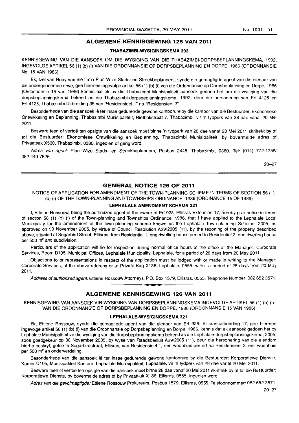## **ALGEMENE KENNISGEWING 125 VAN 2011**

#### **THABAZIMBI-WYSIGINGSKEMA** 303

KENNISGEWING VAN DIE AANSOEK OM DIE WYSIGING VAN DIE THABAZIMBI-DORPSBEPLANNINGSKEMA, 1992, INGEVOLGEARTlKEL56 (1) (b) (i) VAN DIE ORDONNANSIE OP DORPSBEPLANNING EN DORPE, 1986 (ORDONNANSIE No. 15 VAN 1986)

Ek, Izel van Rooy van die firma Plan Wize Stads- en Streekbeplanners, synde die gemagtigde agent van die eienaar van die ondergenoemde erwe, gee hiermee ingevolge artikel 56 (1) (b) (i) van die Ordonnansie op Dorpsbeplanning en Dorpe, 1986 (Ordonnansie 15 van 1986) kennis dat ek by die Thabazimbi Munisipaliteit aansoek gedoen het om die wysiging van die dorpsbeplanningskema bekend as die Thabazimbi-dorpsbeplanningskema, 1992. deur die hersonering van Ert 4125 en Ert 4126, Thabazimbi Uitbreiding 35 van "Residensieel 1" na "Residensieel 3",

Besonderhede van die aansoek lê ter insae gedurende gewone kantoorure by die kantoor van die Bestuurder: Ekonomiese Ontwikkeling en Beplanning, Thabazimbi Munisipaliteit, Rietbokstraat 7. Thabazimbi. vir 'n tydperk van 28 dae vanaf 20 Mei 2011.

Besware teen of vertoë ten opsigte van die aansoek moet binne 'n tydperk van 28 dae vanaf 20 Mei 2011 skriftelik by of tot die Bestuurder: Ekonomiese Ontwikkeling en Beplanning, Thabazimbi Munisipaliteit. by bovermelde adres of Privaatsak X530, Thabazimbi, 0380, ingedien of gerig word.

Adres van agent: Plan Wize Stads- en Streekbeplanners, Posbus 2445, Thabazimbi, 0380. Tel: (014) 772-1758/ 082 449 7626.

20-27

## **GENERAL NOTICE 126 OF 2011**

NOTICE OF APPLICATION FOR AMENDMENT OF THE TOWN-PLANNING SCHEME IN TERMS OF SECTION 56 (1) (b) (i) OF THE TOWN-PLANNING AND TOWNSHIPS ORDINANCE, 1986 (ORDINANCE 15 OF 1986)

#### **LEPHALALE AMENDMENT SCHEME** 321

I, Ettiene Rossouw, being the authorized agent of the owner of Erf 928. Ellisras Extension 17, hereby give notice in terms of section 56 (1) (b) (i) of the Town-planning and Townships Ordinance, 1986. that I have applied to the Lephalale Local Municipality for the amendment of the town-planning scheme known as the Lephalale Town-planning Scheme, 2005, as approved on 30 November 2005. by virtue of Council Resolution A29/2005 (11). by the rezoning of the property described above, situated at Sugarbird Street, Ellisras, from Residential 1, one dwelling house per erf to Residential 2, one dwelling house per 500 m<sup>2</sup> and subdivision.

Particulars of the application will lie for inspection during normal office hours at the office of the Manager: Corporate Services, Room 0105, Municipal Offices, Lephalale Municipality, Lephalale, for a period of 28 days from 20 May 2011.

Objections to or representations in respect of the application must be lodged with or made in writing to the Manager: Corporate Services, at the above address or at Private Bag X136, Lephalale, 0555, within a period of 28 days from 20 May 2011.

Address of authorized agent: Ettiene Rossouw Attorneys, P.O. Box 1579, Etlisras, 0555. Telephone Number: 082 652 3571 . **. -**

## **ALGEMENE KENNISGEWING 126 VAN 2011**

KENNISGEWING VAN AANSOEK VIR WYSIGING VAN DORPSBEPLANNINGSKEMA INGEVOLGE ARTIKEL 56 (1) (b) (i) VAN DIE ORDONNANSIE OP DORPSBEPLANNING EN DORPE, 1986 (ORDONNANSIE 15 VAN 1986)

#### **LEPHALALE-WYSIGINGSKEMA** 321

Ek, Ettiene Rossouw, synde die gemagtigde agent van die eienaar van Erf 928. E11isras-uitbreiding 17, gee hiermee ingevolge artikel 56 (1) (b) (i) van die Ordonnansie op Dorpsbeplanning en Dorpe, 1986, kennis dat ek aansoek gedoen het by Lephalale Munisipaliteit vir die wysiging van die dorpsbeplanningskema bekend as die Lephalale-dorpsbeplanningskema, 2005. soos goedgekeur op 30 November 2005, by wyse van Raadsbesluit A29/2005 (11), deur die hersonering van die eiendom hierbo beskryf, geleë te Sugarbirdstraat, Ellisras, van Residensieel 1, een woonhuis per erf na Residensieel 2, een woonhuis per 500 m<sup>2</sup> en onderverdeling.

Besonderhede van die aansoek lê ter insae gedurende gewone kantoorure by die Bestuurder: Korporatiewe Dienste, Kamer D105, Munisipaliteit Kantore, Lephalale Munisipaliteit, Lephalale, vir 'n tydperk van 28 dae vanaf 20 Mei 2011.

Besware teen of vertoë ten opsigte van die aansoek moet binne 28 dae vanaf 20 Mei 2011 skriftelik by of tot die Bestuurder: Korporatiewe Dienste, by bovermelde adres of by Privaatsak X136, Ellisras, 0555, ingedien word.

Adres van die gevolmagtigde: Ettiene Rossouw Prokureurs, Posbus 1579, Ellisras, 0555. Telefoonnommer: 082 652 3571.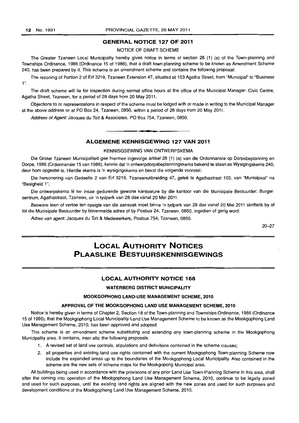## **GENERAL NOTICE 127 OF 2011**

#### NOTICE OF DRAFT SCHEME

The Greater Tzaneen Local Municipality hereby gives notice in terms of section 28 (1) (a) of the Town-planning and Townships Ordinance, 1986 (Ordinance 15 of 1986), that a draft town-planning scheme to be known as Amendment Scheme 240, has been prepared by it. This scheme is an amendment scheme and contains the following proposal:

The rezoning of Portion 2 of Erf 3219, Tzaneen Extension 47, situated at 103 Agatha Street, from "Municipal" to "Business  $1$ ".

The draft scheme will lie for inspection during normal office hours at the office of the Municipal Manager: Civic Centre, Agatha Street, Tzaneen, for a period of 28 days from 20 May 2011.

Objections to or representations in respect of the scheme must be lodged with or made in writing to the Municipal Manager at the above address or at PO Box 24, Tzaneen, 0850, within a period of 28 days from 20 May 2011.

Address of Agent: Jacques du Toit & Associates, PO Box 754, Tzaneen, 0850.

## . **-. ALGEMENE KENNISGEWING 127 VAN 2011**

#### KENNISGSEWING VAN ONTWERPSKEMA

Die Groter Tzaneen Munisipaliteit gee hiermee ingevolge artikel 28 (1) (a) van die Ordonnansie op Dorpsbeplanning en Dorpe, 1986 (Ordonnansie 15 van 1986), kennis dat 'n ontwerpdorpsbeplanningskema bekend te staan as Wysigingskema 240, deur hom opgestel is. Hierdie skema is 'n wysigingskema en bevat die volgende voorstel:

Die hersonering van Gedeelte 2 van Erf 3219, Tzaneenuitbreiding 47, geleë te Agathastraat 103, van "Munisipaal" na "Besigheid 1".

Die ontwerpskema Ie ter insae gedurende gewone kantoorure by die kantoor van die Munisipale Bestuurder: Burgersentrum, Agathastraat, Tzaneen, vir 'n tydperk van 28 dae vanaf 20 Mei 2011.

Besware teen of vertoe ten opsigte van die aansoek moet binne 'n tydperk van 28 dae vanaf 20 Mei 2011 skriftelik by of tot die Munisipale Bestuurder by bovermelde adres of by Posbus 24, Tzaneen, 0850, ingedien of gerig word.

Adres van agent: Jacques du Toit & Medewerkers, Posbus 754, Tzaneen, 0850.

20-27

# **LOCAL AUTHORITY NOTICES PLAASLIKE BESTUURSKENNISGEWINGS**

## **LOCAL AUTHORITY NOTICE 168**

#### **WATERBERG DISTRICT MUNICIPALITY**

#### **MOOKGOPHONG LAND-USE MANAGEMENT SCHEME, 2010**

#### **APPROVAL OF THE MOOKGOPHONG LAND USE MANAGEMENT SCHEME, 2010**

Notice is hereby given in terms of Chapter 2, Section 18 of the Town-planning and Townships Ordinance, 1986 (Ordinance 15 of 1986), that the Mookgophong Local Municipality Land Use Management Scheme to be known as the Mookgophong Land Use Management Scheme, 2010, has been approved and adopted.

This scheme is an amendment scheme substituting and extending any town-planning scheme in the Mookgophong Municipality area. It contains, inter alia, the following proposals:

- 1. A revised set of land use controls, stipulations and definitions contained in the scheme clauses;
- 2. all properties and existing land use rights contained with the current Mookgophong Town-planning Scheme now include the expanded areas up to the boundaries of the Mookgophong Local Municipality. Also contained in the scheme are the new sets of scheme maps for the Mookgopong Municipal area.

All buildings being used in accordance with the provisions of any prior Land Use Town-Planning Scheme in this area, shall after the coming into operation of the Mookgophong Land Use Management Scheme, 2010, continue to be legally zoned and used for such purposes, until the existing land rights are aligned with the new zones and used for such purposes and development conditions of the Mookgophong Land Use Management Scheme, 2010.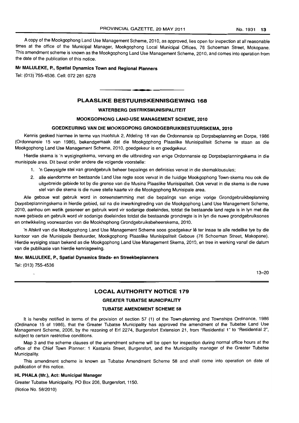A copy of the Mookgophong Land Use Management Scheme, 2010, as approved, lies open for inspection at all reasonable times at the office of the Municipal Manager, Mookgophong Local Municipal Offices, 76 Schoeman Street, Mokopane. This amendment scheme is known as the Mookgophong Land Use Management Scheme, 2010, and comes into operation from the date of the publication of this notice.

## Mr MALULEKE, P., Spatial Dynamics Town and Regional Planners

Tel: (013)755-4536. Cell: 072 281 6278

## PLAASLIKE BESTUURSKENNISGEWING 168

I **• •** 

#### WATERBERG DISTRIKSMUNISIPALITEIT

## MOOKGOPHONG LAND-USE MANAGEMENT SCHEME, 2010

## GOEDKEURING VAN DIE MOOKGOPONG GRONDGEBRUIKBESTUURSKEMA, 2010

Kennis geskied hiermee in terme van Hoofstuk 2, Afdeling 18 van die Ordonnansie op Dorpsbeplanning en Dorpe, 1986 (Ordonnansie 15 van 1986), bekendgemaak dat die Mookgophong Plaaslike Munisipaliteit Scheme te staan as die Mookgophong Land Use Management Scheme, 2010, goedgekeur is en goedgekeur.

Hierdie skema is 'n wysigingskema, vervang en die uitbreiding van enige Ordonnansie op Dorpsbeplanningskema in die munisipale area. Dit bevat onder andere die volgende voorstelle:

- 1. 'n Gewysigde stel van grondgebruik beheer bepalings en definisies vervat in die skemaklousules;
- 2. aile eiendomme en bestaande Land Use regte 5005 vervat in die huidige Mookgophong Town-skema nou ook die uitgebreide gebiede tot by die grense van die Musina Plaaslike Munisipaliteit. Ook vervat in die skema is die nuwe stel van die skema is die nuwe stelle kaarte vir die Mookgophong Munisipale area.

Aile geboue wat gebruik word in ooreenstemming met die bepalings van enige vorige Grondgebruikbeplanning Dorpsbeplanningskema in hierdie gebied, sal na die inwerkingtreding van die Mookgophong Land Use Management Scheme, 2010, aanhou om wetlik gesoneer en gebruik word vir sodanige doeleindes, totdat die bestaande land regte is in Iyn met die nuwe gebiede en gebruik word vir sodanige doeleindes totdat die bestaande grondregte is in Iyn die nuwe grondgebruiksones en ontwikkeling voorwaardes van die Mookhophong Grondgebruiksbeheerskema, 2010.

'n Afskrif van die Mookgophong Land Use Management Scheme soos goedgekeur lê ter insae te alle redelike tye by die kantoor van die Munisipale Bestuurder, Mookgophong Plaaslike Munisipaliteit Geboue (76 Schoeman Street, Makopane). Hierdie wysiging staan bekend as die Mookgophong Land Use Management Skema, 2010, en tree in werking vanaf die datum van die publikasie van hierdie kennisgewing.

#### Mnr. MALULEKE, P., Spatial Dynamics Stads- en Streekbeplanners

Tel: (013) 755-4536  $\overline{a}$ 

13-20

## LOCAL AUTHORITY NOTICE 179

#### GREATER TUBATSE MUNICIPALITY

#### TUBATSE AMENDMENT SCHEME 58

It is hereby notified in terms of the provision of section 57 (1) of the Town-planning and Townships Ordinance, 1986 (Ordinance 15 of 1986), that the Greater Tubatse Municipality has approved the amendment of the Tubatse Land Use Management Scheme, 2006, by the rezoning of Erf 2274, Burgersfort Extension 21, from "Residential 1" to "Residential 2", subject to certain restrictive conditions.

Map 3 and the scheme clauses of the amendment scheme will be open for inspection during normal office hours at the office of the Chief Town Planner: 1 Kastania Street, Burgersfort, and the Municipality manager of the Greater Tubatse Municipality.

This amendment scheme is known as Tubatse Amendment Scheme 58 and shall come into operation on date of publication of this notice.

#### HL PHALA (Mr.), Act: Municipal Manager

Greater Tubatse Municipality, PO Box 206, Burgersfort, 1150. (Notice No. 58/2010)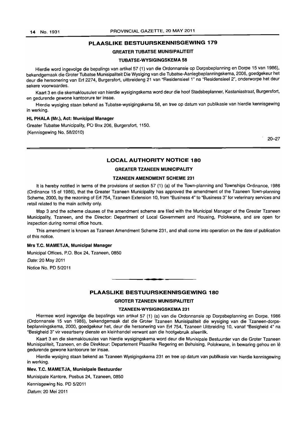## PLAASLIKE BESTUURSKENNISGEWING 179

#### GREATER TUBATSE MUNISIPALITEIT

#### TUBATSE-WYSIGINGSKEMA 58

Hierdie word ingevolge die bepalings van artikel 57 (1) van die Ordonnansie op Dorpsbeplanning en Dorpe 15 van 1986), bekendgemaak die Grater Tubatse Munisipaliteit Die Wysiging van die Tubatse-Aanlegbeplanningskema, 2006, goedgekeur het deur die hersonering van Erf 2274, Burgersfort, uitbreideng 21 van "ResidensieeI1" na "Residensieel 2", onderworpe het deur sekere voorwaardes.

Kaart 3 en die skemaklousules van hierdie wysigingskema word deur die hoof Stadsbeplanner, Kastaniastraat, Burgersfort, en gedurende gewone kantoorure ter insae.

Hierdie wysiging staan bekend as Tubatse-wysigingskema 58, en tree op datum van publikasie van hierdie kennisgewing in werking.

#### HL PHALA (Mr.), Act: Municipal Manager

Greater Tubatse Municipality, PO Box 206, Burgersfort, 1150. (Kennisgewing No. 58/2010)

. 20-27

## LOCAL AUTHORITY NOTICE 180

#### GREATER TZANEEN MUNICIPALITY

#### TZANEEN AMENDMENT SCHEME 231

It is hereby notified in terms of the provisions of section 57 (1) (a) of the Town-planning and Townships Ordinance, 1986 (Ordinance 15 of 1986), that the Greater Tzaneen Municipality has approved the amendment of the Tzaneen Town-planning Scheme, 2000, by the rezoning of Erf 754, Tzaneen Extension 10, from "Business 4" to "Business 3" for veterinary services and retail related to the main activity only.

Map 3 and the scheme clauses of the amendment scheme are filed with the Municipal Manager of the Greater Tzaneen Municipality, Tzaneen, and the Director: Department of Local Government and Housing, Polokwane, and are open for inspection during normal office hours.

This amendment is known as Tzaneen Amendment Scheme 231, and shall come into operation on the date of publication of this notice.

#### Mrs T.C. MAMETJA, Municipal Manager

Municipal Offices, P.O. Box 24, Tzaneen, 0850 Date: 20 May 2011 Notice No. PO 5/2011

#### PLAASLIKE BESTUURSKENNISGEWING 180

**• •** 

#### GROTER TZANEEN MUNISIPALITEIT

#### TZANEEN-WYSIGINGSKEMA 231

Hiermee word ingevolge die bepalings van artikel 57 (1) (a) van die Ordonnansie op Dorpsbeplanning en Dorpe, 1986 (Ordonnansie 15 van 1986), bekendgemaak dat die Groter Tzaneen Munisipaliteit die wysiging van die Tzaneen-dorpsbeplanningskema, 2000, goedgekeur het, deur die hersonering van Erf 754, Tzaneen Uitbreiding 10, vanaf "Besigheid 4" na "Besigheid 3" vir veeartseny dienste en kleinhandel verwant aan die hoofgebruik alleenlik.

Kaart 3 en die skemaklousules van hierdie wysigingskema word deur die Munisipale Bestuurder van die Groter Tzaneen Munisipaliteit, Tzaneen, en die Direkteur: Departement Plaaslike Regering en Behuising, Polokwane, in bewaring gehou en Ie gedurende gewone kantoorure ter insae.

Hierdie wysiging staan bekend as Tzaneen Wysigingskema 231 en tree op datum van publikasie van hierdie kennisgewing in werking.

#### Mev. T.C. MAMETJA, Munisipale Bestuurder

Munisipale Kantore, Posbus 24, Tzaneen, 0850

Kennisgewing No. PO 5/2011

Datum: 20 Mei 2011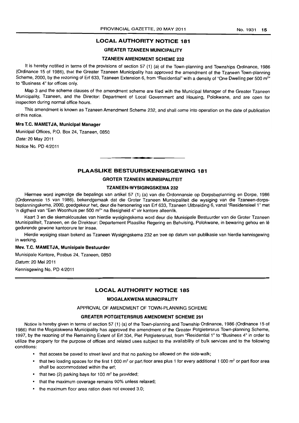## **LOCAL AUTHORITY NOTICE 181**

## GREATER TZANEEN MUNICIPALITY

## TZANEEN AMENDMENT SCHEME 232

It is hereby notified in terms of the provisions of section 57 (1) (a) of the Town-planning and Townships Ordinance, 1986 (Ordinance 15 of 1986), that the Greater Tzaneen Municipality has approved the amendment of the Tzaneen Town-planning Scheme, 2000, by the rezoning of Erf 633, Tzaneen Extension 6, from "Residential" with a density of "One Dwelling per 500 m<sup>2</sup>" to "Business 4" for offices only.

Map 3 and the scheme clauses of the amendment scheme are filed with the Municipal Manager of the Greater Tzaneen Municipality, Tzaneen, and the Director: Department of Local Government and Housing, Polokwane, and are open for inspection during normal office hours.

This amendment is known as Tzaneen Amendment Scheme 232, and shall come into operation on the date of publication of this notice.

## Mrs T.C. MAMETJA, Municipal Manager

Municipal Offices, P.O. Box 24, Tzaneen, 0850

Date: 20 May 2011

Notice No. PO 4/2011

## **PLAASLIKE BESTUURSKENNISGEWING 181**

. **- .** 

#### GROTER TZANEEN MUNISIPALITEIT

#### TZANEEN-WYSIGINGSKEMA 232

Hiermee word ingevolge die bepalings van artikel 57 (1) (a) van die Ordonnansie op Dorpsbeplanning en Dorpe, 1986 (Ordonnansie 15 van 1986), bekendgemaak dat die Groter Tzaneen Munisipaliteit die wysiging van die Tzaneen-dorpsbeplanningskema, 2000, goedgekeur het, deur die hersonering van Erf 633, Tzaneen Uitbreiding 6, vanaf "ResidensieeI1" met n digtheid van "Een Woonhuis per 500 m<sup>2</sup>" na Besigheid 4" vir kantore alleenlik.

Kaart 3 en die skemaklousules van hierdie wysigingskema word deur die Munisipale Bestuurder van die Groter Tzaneen Munisipaliteit, Tzaneen, en die Direkteur: Departement Plaaslike Regering en Behuising, Polokwane, in bewaring gehou en Ie gedurende gewone kantoorure ter insae.

Hierdie wysiging staan bekend as Tzaneen Wysigingskema 232 en tree op datum van publikasie van hierdie kennisgewing in werking.

#### Mev. T.C. MAMETJA, Munisipale Bestuurder

Munisipale Kantore, Posbus 24, Tzaneen, 0850

Datum: 20 Mei 2011

Kennisgewing No. PO 4/2011

## **LOCAL AUTHORITY NOTICE 185**

#### MOGALAKWENA MUNICIPALITY

APPROVAL OF AMENDMENT OF TOWN-PLANNING SCHEME

#### GREATER POTGIETERSRUS AMENDMENT SCHEME 291

Notice is hereby given in terms of section 57 (1) (a) of the Town-planning and Township Ordinance, 1986 (Ordinance 15 of 1986) that the Mogalakwena Municipality has approved the amendment of the Greater Potgietersrus Town-planning Scheme, 1997, by the rezoning of the Remaining Extent of Erf 334, Piet Potgietersrust, from "Residential 1" to "Business 4" in order to utilize the property for the purpose of offices and related uses subject to the availability of bulk services and to the following conditions:

- that access be paved to street level and that no parking be allowed on the side-walk;
- that two loading spaces for the first 1 000 m<sup>2</sup> or part floor area plus 1 for every additional 1 000 m<sup>2</sup> or part floor area shall be accommodated within the erf;
- that two (2) parking bays for 100  $m<sup>2</sup>$  be provided;
- that the maximum coverage remains 90% unless relaxed;
- the maximum floor area ration does not exceed 3.0: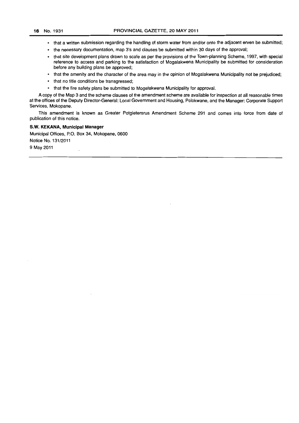- that a written submission regarding the handling of storm water from and/or onto the adjacent erven be submitted;
- the necessary documentation, map 3's and clauses be submitted within 30 days of the approval;
- that site development plans drawn to scale as per the provisions of the Town-planning Scheme, 1997, with special reference to access and parking to the satisfaction of Mogalakwena Municipality be submitted for consideration before any building plans be approved;
- that the amenity and the character of the area may in the opinion of Mogalakwena Municipality not be prejudiced;
- that no title conditions be transgressed;
- that the fire safety plans be submitted to Mogalakwena Municipality for approval.

A copy of the Map 3 and the scheme clauses of the amendment scheme are available for inspection at all reasonable times at the offices of the Deputy Director-General: Local Government and Housing, Polokwane, and the Manager: Corporate Support Services, Mokopane.

This amendment is known as Greater Potgietersrus Amendment Scheme 291 and comes into force from date of publication of this notice.

#### S.W. KEKANA, Municipal Manager

Municipal Offices, P.O. Box 34, Mokopane, 0600 Notice No. 131/2011 9 May 2011  $\overline{a}$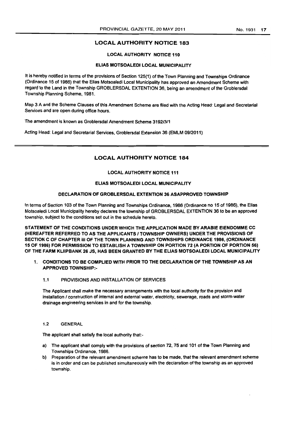## LOCAL AUTHORITY NOTICE 183

#### LOCAL AUTHORITY NOTICE 110

#### EUAS MOTSOALEDI LOCAL MUNICIPAUTY

It is hereby notified in terms of the provisions of Section 125(1} of the Town Planning and Townships Ordinance (Ordinance 15 of 1986) that the Elias Motsoaledi Local Municipality has approved ao Amendment Scheme with regard to the Land in the Township GROBLERSDAL EXTENTION 36, being an amendment of the Groblersdal Township Planning Scheme. 1981. .

Map 3 A and the Scheme Clauses of this Amendment Scheme are filed with the Acting Head: Legal and Secretarial Services and are open during office hours.

The amendment is known as Groblersdal Amendment Scheme 319213/1

Acting Head: Legal and Secretariat Services. Groblersdal Extension 36 (EMlM 09/2011)

## LOCAL AUTHORITY NOTICE 184

#### LOCAL AUTHORITY NOTICE 111

#### EUAS MOTSOALEOI LOCAL MUNICIPALITY

#### DECLARATION OF GROBLERSOAL EXTENTION 36 ASAPPROVED TOWNSHIP

In terms of Section 103 of the Town Planning and Townships Ordinance, 1986 (Ordinance no 15 of 1986), the Elias Motsoaledi Local Municipality hereby declares the township of GROBlERSOAl EXTENTION 36 to be an approved township, subject to the conditions set out in the schedule hereto.

STATEMENT OF THE CONDITIONS UNDER WHICH THE APPLICATION MADE BY ARABIE EIENDOMME CC (HEREAFTER REFERRED TO AS THE APPLICANTS I TOWNSHIP OWNERS) UNDER THE PROVISIONS OF SECTION C OF CHAPTER iii OF THE TOWN PLANNING AND TOWNSHIPS ORDINANCE 1986. (ORDINANCE 15 OF 1986) FOR PERMISSION TO ESTABLISH A TOWNSHIP ON PORTION 72 (A PORTION OF PORTION 56) OF THE FARM KLIIPBANK 26 JS, HAS BEEN GRANTED BY THE ELIAS MOTSOALEDI LOCAL MUNICIPALITY

- 1. CONDITIONS TO BE COMPLIED WITH PRIOR TO THE DECLARATION OF THE TOWNSHIP AS AN APPROVED TOWNSHIP:-
	- 1.1 PROVISIONS AND INSTALLATION OF SERVICES

The Applicant shall make the necessary arrangements with the local authority for the provision and installation / construction of internal and external water, electricity, sewerage, roads and storm-water drainage engineering services in and for the township.

#### 1.2 GENERAL

The applicant shall satisfy the local authority that:-

- a) The applicant shall comply with the provisions of section 72, 75 and 101 of the Town Planning and Townships Ordinance, 1986.
- b) Preparation of the relevant amendment scheme has to be made, that the relevant amendment scheme is in order and can be published simultaneously with the declaration of the township as an approved township.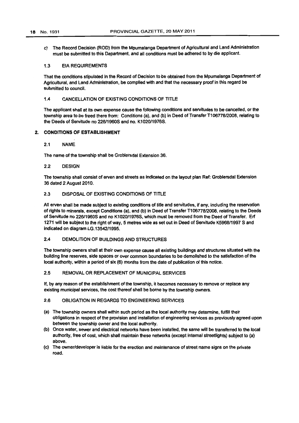c) The Record Decision (ROD) from the Mpumalanga Department of Agricultural and Land Administration must be submitted to this Department, and all conditions must be adhered to by die applicant.

#### 1.3 EIA REQUIREMENTS

That the conditions stipulated In the Record of Decision to be obtained from the Mpumalanga Department of Agricultural, and Land Administration, be complied with and that the necessary proof in this regard be submitted to council.

#### 1.4 CANCELLATION OF EXISTING CONDITIONS OF TITLE

The applicant shall at Its own expense cause the following conditions and servitudes to be cancelled, or the township area to be freed there from: Conditions (8). and (b) in Deed of Transfer T1 0677812008, relating to the Deeds of Servitude no 226/1960S and no. K1020/1976S.

#### 2, CONDITIONS OF ESTABLISHMENT

#### 2.1 NAME

The name of the township shall be Groblersdal Extension 36.

#### 2.2 DESiGN

The township shall consist of erven and streets as indicated on the layout plan Ref: Groblersdal Extension 36 dated 2 August 2010.

#### 2.3 DISPOSAL OF EXISTING CONDITIONS OF TITLE

All erven shall be made subject to existing conditions of title and servitudes, if any, including the reservation of rights to minerals, except Conditions (a), and (b) in Deed of Transfer T106778/2008, relating to the Deeds of Servitude no 226/1960S and no K1020/1976S, which must be removed from the Deed of Transfer. Enf 1271 will be subject to the right of way, 5 metres wide as set out in Deed of Servitude K5968/1997 S and indicated on diagram LG.13542/1995.

## 2.4 DEMOLITION OF BUILDINGS AND STRUCTURES

The township owners shall at their own expense cause all existing buildings and structures situated with the building line reserves, side spaces or over common boundaries to be demolished to the satisfaction of the local authority. within a period of six (6) months from the date of publication of this notice.

## 2.5 REMOVAL OR REPLACEMENT OF MUNICIPAL SERVICES

If, by any reason of the establishment of the township, it becomes necessary to remove or replace any existing municipal services, the cost thereof shall be bome by the township owners.

#### 2.6 OBLIGATION IN REGARDS TO ENGINEERING SERVICES

- (8) The township owners shall within such period as the local authority may determine, fulfill their obligations in respect of the provision and installation of engineering services as previously agreed upon between the township owner and the local authority.
- (b) Once water, sewer and electrical networks have been installed. the same will be transferred to the focal authority, free of cost, which shall maintain these networks (except intemal streetlights) subject to (a) above.
- (c) The owner/developer is liable for the erection and maintenance of street name signs on the private road.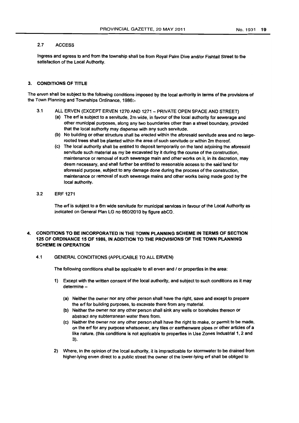#### $2.7$ **ACCESS**

Ingress and egress to and from the township shall be from Royal Palm Dive and/or Fishtail Street to the satisfaction of the local Authority.

#### 3. CONDITIONS OF TITLE

The erven shall be subject to the following conditions imposed by the local authority in terms of the provisions of the Town Planning and Townships Ordinance, 1986:-

- 3.1 ALL ERVEN (EXCEPT ERVEN 1270 AND 1271 PRIVATE OPEN SPACE AND STREET)
	- (a) The erf is subject to a servitude, 2m wide, in favour of the local authority for sewerage and other municipal purposes, along any two boundaries other than a street boundary, provided that the local authority may dispense with any such servitude.
	- (b) No building or other structure shall be erected within the aforesaid servitude area and no largerooted trees shall be planted within the area of such servitude or within 2m thereof.
	- (c) The local authority shall be entitled to deposit temporarily on the land adjoining the aforesaid servitude such material as my be excavated by it during the course of the construction, maintenance or removal of such sewerage main and other works on it. in its discretion. may deem necessary. and shall further be entitled to reasonable access to the said land for aforesaid purpose. subject to any damage done during the process of the construction, maintenance or removal of such sewerage mains and other works being made good by the local authority.
- 3.2 ERF 1271

The erf is subject to a 6m wide servitude for municipal services in favour of the Local Authority as indicated on General Plan LG no 660/2010 by figure abCD.

## 4. CONDITIONS TO BE INCORPORATED IN THE TOWN PLANNING SCHEME IN TERMS OF SECTION 125 OF ORDINANCE 15 OF 1986. IN ADDITION TO THE PROVISIONS OF THE TOWN PLANNING SCHEME IN OPERATION

4,1 GENERAL CONDITIIONS (APPLICABLE TO ALL ERVEN)

The following conditions shall be applicable to all erven and / or properties in the area:

- 1) Except with the written consent of the local authority, and subject to such conditions as it may determine-
	- (a) Neither the owner nor any other person shall have the right, save and except to prepare the eri for building purposes, to excavate there from any material.
	- (b) Neither the owner nor any other person shall sink any wells or boreholes thereon or abstract any subterranean water there from.
	- (e) Neither the owner nor any other person shall have the right to make, or permit to be made, on the erf for any purpose whatsoever, any tiles or earthenware pipes or other articles of a like nature, (this conditions is not applicable to properties in Use Zones Industrial 1, 2 and :~).
- 2} Where, in the opinion of the local authority, it is impracticable for stormwater to be drained from higher-lying erven direct to a public street the owner of the lower-lying erf shall be obliged to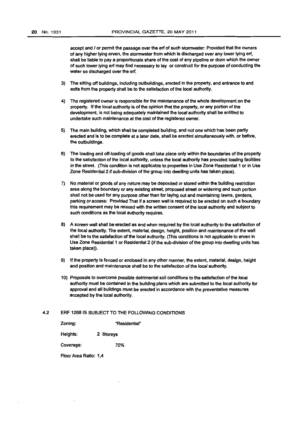accept and / or permit the passage over the erf of such stormwater: Provided that the owners of any higher lying erven, the stormwater from which is discharged over any lower lying eft, shall be liable to pay a proportionate share of the cost of any pipeline or drain which the owner of such lower lying erf may find necessary to lay or construct for the purpose of conducting the water so discharged over the erf.

- 3) The sitting off buildings, including outbuildings, erected in the property, and entrance to and exits from the property shall be to the satisfaction of the local authority.
- 4) The registered owner is responsible for the maintenance of the whole development on the property. If the local authority is of the opinion that the property. or any portion of the development. is not being adequately maintained the local authority shall be entitled to undertake such maintenance at the cost of the registered owner.
- 5) The main building, which shall be completed building, and not one which has been partly erected and Is to be complete at a later date, shall be erected simultaneously with, or before, the outbuildings.
- 6) The loading and off-loading of goods shall take place only within the boundaries of the property to the satisfaction of the local authority, unless the local authority has provided loading facilities in the street. (This condition is not applicable to properties in Use Zone Residential 1 or in Use Zone Residential 2 if sub-division of the group into dwelling units has taken place).
- 7) No matenal or goods of any nature may be deposited or stored within the building restriction area along the boundary or any existing street, proposed street or widening and such portion shall not be used for any purpose other than for laying out and maintaining lawns, gardens. parking or access: Provided That if a screen wall is required to be erected on such a boundary this requirement may be relaxed with the written consent of the local authority and subject to such conditions as the local authority requires.
- 8) A screen wall shall be erected as and when required by the local authority to the satisfaction of the local authority. The extent, material, design, height, position and maintenance of the wall shall be to the satisfaction of the local authority. (This conditions is not applicable to erven in Use Zone Residential 1 or Residential 2 (if the sub-division of the group into dwelling units has taken place)).
- 9) If the property is fenced or enclosed in any other manner, the extent, material, design, height and position and maintenance shall be to the satisfaction of the local authority.
- 10) Proposals to overcome possible detrimental soil conditions to the satisfaction of the local authority must be contained in the building plans which are submitted to the local authority for approval and all bUildings rrwst be erected in accordance with the preventative measures accepted by the local authority.

#### 4.2 ERF 1268 IS SUBJECT TO THE FOLLOWING CONDITIONS

| Zoning:   | "Residential" |
|-----------|---------------|
| Heights.  | 2 Storeys     |
| Coverage: | 70%           |

Floor Area Ratio: 1.4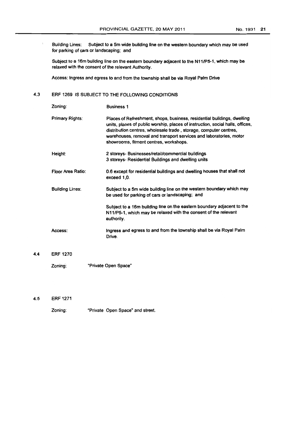Building Lines: Subject to a 5m wide building line on the western boundary which may be used for parking of cars or landscaping; and

Subject to a 16m building line on the eastern boundary adjacent to the N111P5·1, which may be relaxed with the consent of the relevant Authority.

Access: Ingress and egress to and from the township shall be via Royal Palm Drive

## 4.3 ERF 1269 IS SUBJECT TO THE FOLLOWING CONDITIONS

| Zoning:                | <b>Business 1</b>                                                                                                                                                                                                                                                                                                                              |  |  |  |
|------------------------|------------------------------------------------------------------------------------------------------------------------------------------------------------------------------------------------------------------------------------------------------------------------------------------------------------------------------------------------|--|--|--|
| Primary Rights:        | Places of Refreshment, shops, business, residential buildings, dwelling<br>units, places of public worship, places of instruction, social halls, offices,<br>distribution centres, wholesale trade, storage, computer centres,<br>warehouses, removal and transport services and laboratories, motor<br>showrooms, fitment centres, workshops. |  |  |  |
| Height:                | 2 storeys- Businesses/retail/commercial buildings<br>3 storeys- Residential Buildings and dwelling units                                                                                                                                                                                                                                       |  |  |  |
| Floor Area Ratio:      | 0.6 except for residential buildings and dwelling houses that shall not<br>exceed 1.0.                                                                                                                                                                                                                                                         |  |  |  |
| <b>Building Lines:</b> | Subject to a 5m wide building line on the western boundary which may<br>be used for parking of cars or landscaping; and                                                                                                                                                                                                                        |  |  |  |
|                        | Subject to a 16m building line on the eastern boundary adjacent to the<br>N11/P5-1, which may be relaxed with the consent of the relevant<br>authority.                                                                                                                                                                                        |  |  |  |
| Access:                | Ingress and egress to and from the township shall be via Royal Palm<br>Drive.                                                                                                                                                                                                                                                                  |  |  |  |
| <b>ERF 1270</b>        |                                                                                                                                                                                                                                                                                                                                                |  |  |  |
| Zoning:                | "Private Open Space"                                                                                                                                                                                                                                                                                                                           |  |  |  |

4.5 ERF 1271

 $4.4$ 

 $\Delta$ 

Zoning: "Private Open Space" and street.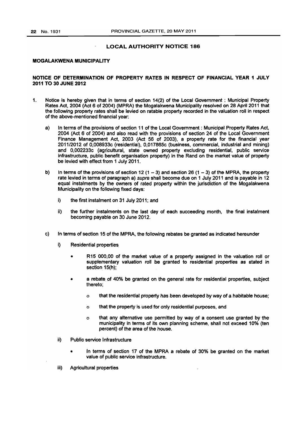#### **LOCAL AUTHORITY NOTICE 186**

#### **MOGALAKWENA MUNICIPALITY**

#### **NOTICE OF DETERMINATION OF PROPERTY RATES IN RESPECT OF FINANCIAL YEAR 1 JULY 2011 TO 30 JUNE 2012**

- 1. Notice is hereby given that in terms of section 14(2} of the Local Government : Municipal Property Rates Act, 2004 (Act 6 of 2004) (MPRA) the Mogalakwena Municipality resolved on 28 April 2011 that the following property rates shall be levied on ratable property recorded in the valuation roll in respect of the above-mentioned financial year:
	- a) In terms of the provisions of section 11 of the Local Govemment : Municipal Property Rates Act, 2004 (Act 6 of 2004) and also read with the provisions of section 24 of the Local Government Finance Management Act, 2003 (Act 56 of 2003). a property rate for the financial year 2011/2012 of O,008933c (residential). 0.017865c (business, commercial, industrial and mining) and 0,002233c (agricultural, state owned property excluding residential, public service infrastructure, public benefit organisation property) in the Rand on the market value of property be levied with effect from 1 July 2011.
	- b) In terms of the provisions of section 12  $(1 3)$  and section 26  $(1 3)$  of the MPRA, the property rate levied in terms of paragraph a) supra shall become due on 1 July 2011 and is payable in 12 equal instalments by the owners of rated property within the jurisdiction of the Mogalakwena Municipality on the following fixed days:
		- j) the first instalment on 31 July 2011; and
		- ii) the further instalments on the last day of each succeeding month, the final instalment becoming payable on 30 June 2012.
	- c) In terms of section 15 of the MPRA, the following rebates be granted as indicated hereunder
		- i) Residential properties
			- R15 000,00 of the market value of a property assigned in the valuation roll or supplementary valuation roll be granted to residential properties as stated In section 15(h);
			- a rebate of 40% be granted on the general rate for residential properties, subject thereto;
				- o that the residential property has been developed by way of a habitable house;
				- o that the property is used for only residential purposes, and
				- o that any altemative use permitted by way of a consent use granted by the municipality in terms of its own planning scheme, shall not exceed 10% (ten percent) of the area of the house.
		- ii) Public service Infrastructure
			- In terms of section 17 of the MPRA a rebate of 30% be granted on the market value of public service infrastructure.
		- iii) Agricultural properties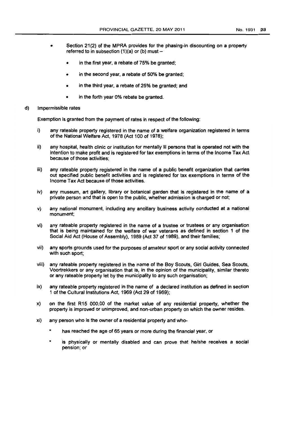- 
- Section 21(2) of the MPRA provides for the phasing-in discounting on a property referred to in subsection  $(1)(a)$  or  $(b)$  must  $$ 
	- in the first year, a rebate of 75% be granted;
	- in the second year, a rebate of 50% be granted;
	- in the third year, a rebate of 25% be granted; and
	- in the forth year 0% rebate be granted.
- d) Impermissible rates

Exemption is granted from the payment of rates in respect of the following:

- i) any rateable property registered in the name of a welfare organization registered in terms of the National Welfare Act, 1978 (Act 100 of 1978);
- Ii) any hospital, health clinic or institution for mentally ill persons that is operated not with the Intention to make profit and is registered for tax exemptions in terms of the Income Tax Act because of those activities;
- iii) any rateable property registered in the name of a public benefit organization that carries out specified public benefit activities and is registered for tax exemptions in terms of the Income Tax Act because of those activities.
- iv) any museum, art gallery, library or botanical garden that is registered in the name of a private person and that is open to the public, whether admission is charged or not;
- v) any national monument, including any ancillary business activity conducted at a national monument;
- vi) any rateable property registered in the name of a trustee or trustees or any organisation that is being maintained for the welfare of war veterans as defined in section 1 of the Social Aid Act (House of Assembly), 1989 (Act 37 of 1989), and their families;
- vii) any sports grounds used for the purposes of amateur sport or any social activity connected with such sport;
- viii) any rateable property registered in the name of the Boy Scouts, Girl Guides, Sea Scouts, Voortrekkers or any organisation that is, In the opinion of the municipality, similar thereto or any rateable property let by the municipality to any such organisation;
- ix) any rateable property registered in the name of a declared institution as defined in section 1 of the Cultural Institutions Act, 1969 (Act 29 of 1969);
- x) on the first R15 000,00 of the market value of any residential property, whether the property is improved or unimproved, and non-urban property on which the owner resides.
- xi) any person who is the owner of a residential property and who
	- has reached the age of 65 years or more during the financial year, or
	- is physically or mentally disabled and can prove that he/she receives a social pension; or